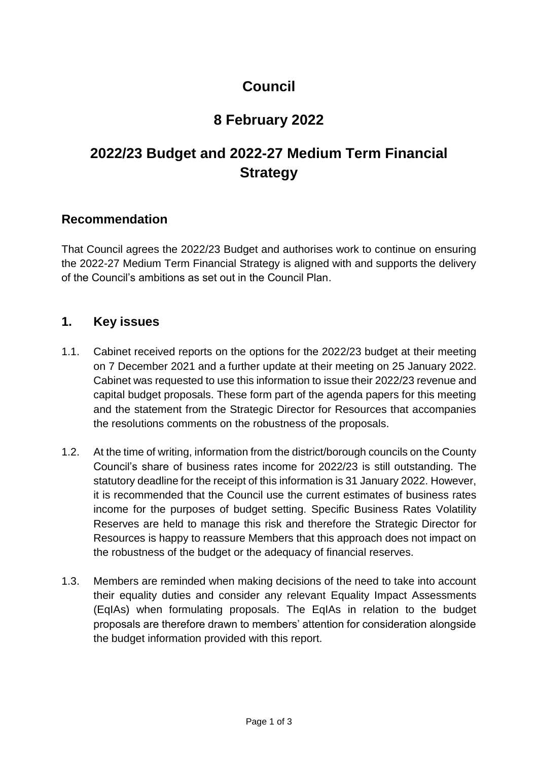## **Council**

### **8 February 2022**

# **2022/23 Budget and 2022-27 Medium Term Financial Strategy**

#### **Recommendation**

That Council agrees the 2022/23 Budget and authorises work to continue on ensuring the 2022-27 Medium Term Financial Strategy is aligned with and supports the delivery of the Council's ambitions as set out in the Council Plan.

### **1. Key issues**

- 1.1. Cabinet received reports on the options for the 2022/23 budget at their meeting on 7 December 2021 and a further update at their meeting on 25 January 2022. Cabinet was requested to use this information to issue their 2022/23 revenue and capital budget proposals. These form part of the agenda papers for this meeting and the statement from the Strategic Director for Resources that accompanies the resolutions comments on the robustness of the proposals.
- 1.2. At the time of writing, information from the district/borough councils on the County Council's share of business rates income for 2022/23 is still outstanding. The statutory deadline for the receipt of this information is 31 January 2022. However, it is recommended that the Council use the current estimates of business rates income for the purposes of budget setting. Specific Business Rates Volatility Reserves are held to manage this risk and therefore the Strategic Director for Resources is happy to reassure Members that this approach does not impact on the robustness of the budget or the adequacy of financial reserves.
- 1.3. Members are reminded when making decisions of the need to take into account their equality duties and consider any relevant Equality Impact Assessments (EqIAs) when formulating proposals. The EqIAs in relation to the budget proposals are therefore drawn to members' attention for consideration alongside the budget information provided with this report.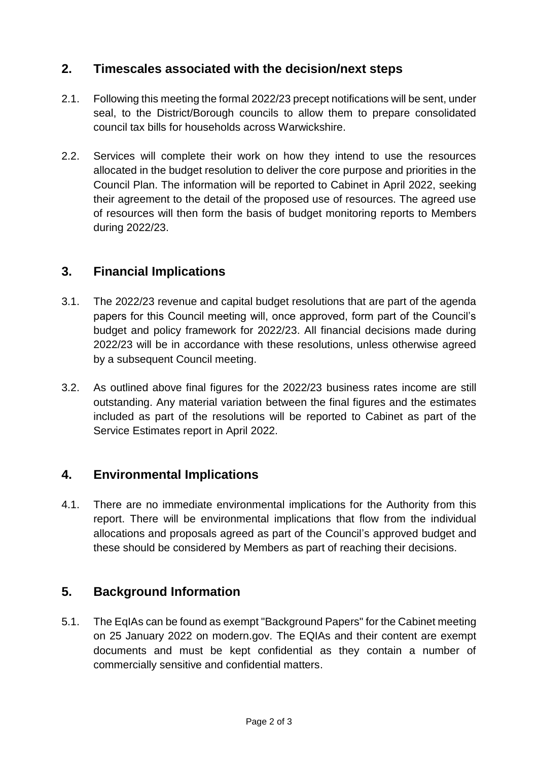### **2. Timescales associated with the decision/next steps**

- 2.1. Following this meeting the formal 2022/23 precept notifications will be sent, under seal, to the District/Borough councils to allow them to prepare consolidated council tax bills for households across Warwickshire.
- 2.2. Services will complete their work on how they intend to use the resources allocated in the budget resolution to deliver the core purpose and priorities in the Council Plan. The information will be reported to Cabinet in April 2022, seeking their agreement to the detail of the proposed use of resources. The agreed use of resources will then form the basis of budget monitoring reports to Members during 2022/23.

### **3. Financial Implications**

- 3.1. The 2022/23 revenue and capital budget resolutions that are part of the agenda papers for this Council meeting will, once approved, form part of the Council's budget and policy framework for 2022/23. All financial decisions made during 2022/23 will be in accordance with these resolutions, unless otherwise agreed by a subsequent Council meeting.
- 3.2. As outlined above final figures for the 2022/23 business rates income are still outstanding. Any material variation between the final figures and the estimates included as part of the resolutions will be reported to Cabinet as part of the Service Estimates report in April 2022.

### **4. Environmental Implications**

4.1. There are no immediate environmental implications for the Authority from this report. There will be environmental implications that flow from the individual allocations and proposals agreed as part of the Council's approved budget and these should be considered by Members as part of reaching their decisions.

### **5. Background Information**

5.1. The EqIAs can be found as exempt "Background Papers" for the Cabinet meeting on 25 January 2022 on modern.gov. The EQIAs and their content are exempt documents and must be kept confidential as they contain a number of commercially sensitive and confidential matters.